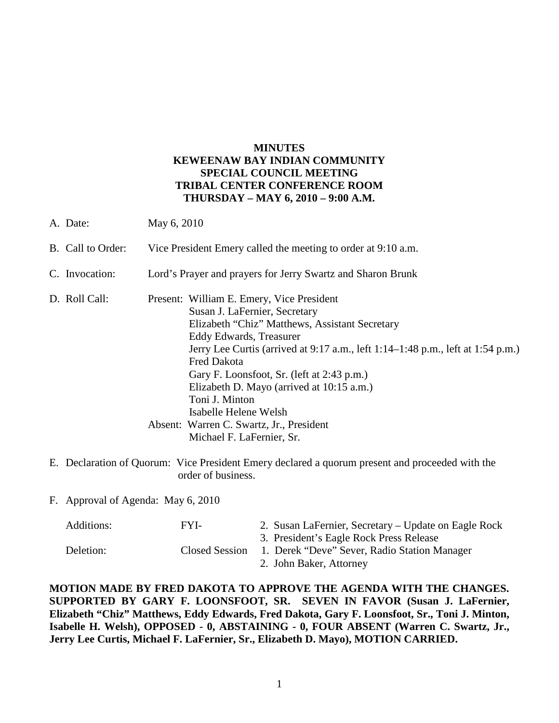# **MINUTES KEWEENAW BAY INDIAN COMMUNITY SPECIAL COUNCIL MEETING TRIBAL CENTER CONFERENCE ROOM THURSDAY – MAY 6, 2010 – 9:00 A.M.**

A. Date: May 6, 2010

|  | B. Call to Order: | Vice President Emery called the meeting to order at 9:10 a.m. |  |  |
|--|-------------------|---------------------------------------------------------------|--|--|
|--|-------------------|---------------------------------------------------------------|--|--|

- C. Invocation: Lord's Prayer and prayers for Jerry Swartz and Sharon Brunk
- D. Roll Call: Present: William E. Emery, Vice President Susan J. LaFernier, Secretary Elizabeth "Chiz" Matthews, Assistant Secretary Eddy Edwards, Treasurer Jerry Lee Curtis (arrived at 9:17 a.m., left 1:14–1:48 p.m., left at 1:54 p.m.) Fred Dakota Gary F. Loonsfoot, Sr. (left at 2:43 p.m.) Elizabeth D. Mayo (arrived at 10:15 a.m.) Toni J. Minton Isabelle Helene Welsh Absent: Warren C. Swartz, Jr., President Michael F. LaFernier, Sr.
- E. Declaration of Quorum: Vice President Emery declared a quorum present and proceeded with the order of business.

F. Approval of Agenda: May 6, 2010

| Additions: | FYL-           | 2. Susan LaFernier, Secretary – Update on Eagle Rock |
|------------|----------------|------------------------------------------------------|
|            |                | 3. President's Eagle Rock Press Release              |
| Deletion:  | Closed Session | 1. Derek "Deve" Sever, Radio Station Manager         |
|            |                | 2. John Baker, Attorney                              |

**MOTION MADE BY FRED DAKOTA TO APPROVE THE AGENDA WITH THE CHANGES. SUPPORTED BY GARY F. LOONSFOOT, SR. SEVEN IN FAVOR (Susan J. LaFernier, Elizabeth "Chiz" Matthews, Eddy Edwards, Fred Dakota, Gary F. Loonsfoot, Sr., Toni J. Minton, Isabelle H. Welsh), OPPOSED - 0, ABSTAINING - 0, FOUR ABSENT (Warren C. Swartz, Jr., Jerry Lee Curtis, Michael F. LaFernier, Sr., Elizabeth D. Mayo), MOTION CARRIED.**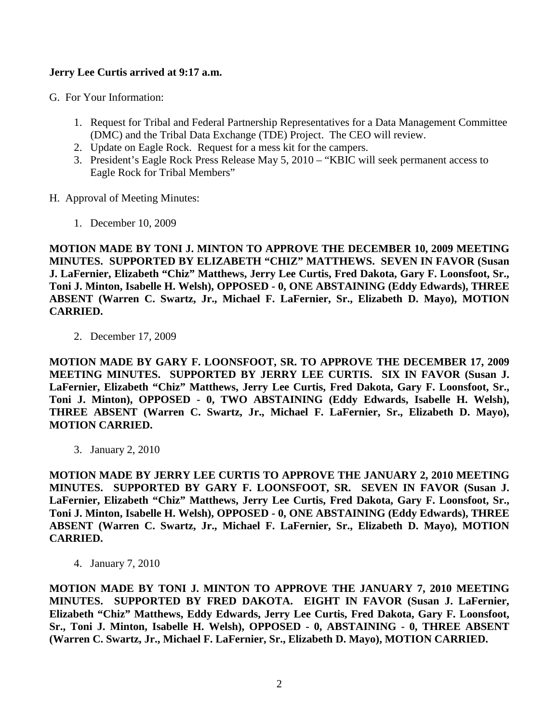## **Jerry Lee Curtis arrived at 9:17 a.m.**

G. For Your Information:

- 1. Request for Tribal and Federal Partnership Representatives for a Data Management Committee (DMC) and the Tribal Data Exchange (TDE) Project. The CEO will review.
- 2. Update on Eagle Rock. Request for a mess kit for the campers.
- 3. President's Eagle Rock Press Release May 5, 2010 "KBIC will seek permanent access to Eagle Rock for Tribal Members"

H. Approval of Meeting Minutes:

1. December 10, 2009

**MOTION MADE BY TONI J. MINTON TO APPROVE THE DECEMBER 10, 2009 MEETING MINUTES. SUPPORTED BY ELIZABETH "CHIZ" MATTHEWS. SEVEN IN FAVOR (Susan J. LaFernier, Elizabeth "Chiz" Matthews, Jerry Lee Curtis, Fred Dakota, Gary F. Loonsfoot, Sr., Toni J. Minton, Isabelle H. Welsh), OPPOSED - 0, ONE ABSTAINING (Eddy Edwards), THREE ABSENT (Warren C. Swartz, Jr., Michael F. LaFernier, Sr., Elizabeth D. Mayo), MOTION CARRIED.**

2. December 17, 2009

**MOTION MADE BY GARY F. LOONSFOOT, SR. TO APPROVE THE DECEMBER 17, 2009 MEETING MINUTES. SUPPORTED BY JERRY LEE CURTIS. SIX IN FAVOR (Susan J. LaFernier, Elizabeth "Chiz" Matthews, Jerry Lee Curtis, Fred Dakota, Gary F. Loonsfoot, Sr., Toni J. Minton), OPPOSED - 0, TWO ABSTAINING (Eddy Edwards, Isabelle H. Welsh), THREE ABSENT (Warren C. Swartz, Jr., Michael F. LaFernier, Sr., Elizabeth D. Mayo), MOTION CARRIED.**

3. January 2, 2010

**MOTION MADE BY JERRY LEE CURTIS TO APPROVE THE JANUARY 2, 2010 MEETING MINUTES. SUPPORTED BY GARY F. LOONSFOOT, SR. SEVEN IN FAVOR (Susan J. LaFernier, Elizabeth "Chiz" Matthews, Jerry Lee Curtis, Fred Dakota, Gary F. Loonsfoot, Sr., Toni J. Minton, Isabelle H. Welsh), OPPOSED - 0, ONE ABSTAINING (Eddy Edwards), THREE ABSENT (Warren C. Swartz, Jr., Michael F. LaFernier, Sr., Elizabeth D. Mayo), MOTION CARRIED.**

4. January 7, 2010

**MOTION MADE BY TONI J. MINTON TO APPROVE THE JANUARY 7, 2010 MEETING MINUTES. SUPPORTED BY FRED DAKOTA. EIGHT IN FAVOR (Susan J. LaFernier, Elizabeth "Chiz" Matthews, Eddy Edwards, Jerry Lee Curtis, Fred Dakota, Gary F. Loonsfoot, Sr., Toni J. Minton, Isabelle H. Welsh), OPPOSED - 0, ABSTAINING - 0, THREE ABSENT (Warren C. Swartz, Jr., Michael F. LaFernier, Sr., Elizabeth D. Mayo), MOTION CARRIED.**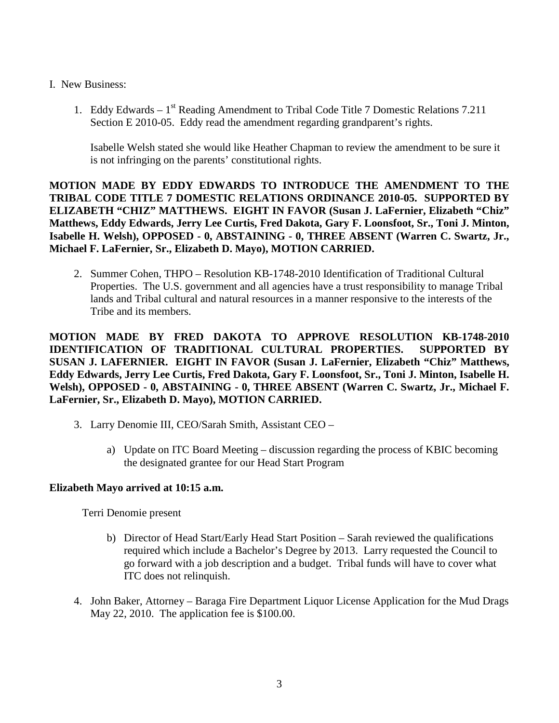## I. New Business:

1. Eddy Edwards –  $1<sup>st</sup>$  Reading Amendment to Tribal Code Title 7 Domestic Relations 7.211 Section E 2010-05. Eddy read the amendment regarding grandparent's rights.

Isabelle Welsh stated she would like Heather Chapman to review the amendment to be sure it is not infringing on the parents' constitutional rights.

**MOTION MADE BY EDDY EDWARDS TO INTRODUCE THE AMENDMENT TO THE TRIBAL CODE TITLE 7 DOMESTIC RELATIONS ORDINANCE 2010-05. SUPPORTED BY ELIZABETH "CHIZ" MATTHEWS. EIGHT IN FAVOR (Susan J. LaFernier, Elizabeth "Chiz" Matthews, Eddy Edwards, Jerry Lee Curtis, Fred Dakota, Gary F. Loonsfoot, Sr., Toni J. Minton, Isabelle H. Welsh), OPPOSED - 0, ABSTAINING - 0, THREE ABSENT (Warren C. Swartz, Jr., Michael F. LaFernier, Sr., Elizabeth D. Mayo), MOTION CARRIED.**

2. Summer Cohen, THPO – Resolution KB-1748-2010 Identification of Traditional Cultural Properties. The U.S. government and all agencies have a trust responsibility to manage Tribal lands and Tribal cultural and natural resources in a manner responsive to the interests of the Tribe and its members.

**MOTION MADE BY FRED DAKOTA TO APPROVE RESOLUTION KB-1748-2010 IDENTIFICATION OF TRADITIONAL CULTURAL PROPERTIES. SUPPORTED BY SUSAN J. LAFERNIER. EIGHT IN FAVOR (Susan J. LaFernier, Elizabeth "Chiz" Matthews, Eddy Edwards, Jerry Lee Curtis, Fred Dakota, Gary F. Loonsfoot, Sr., Toni J. Minton, Isabelle H. Welsh), OPPOSED - 0, ABSTAINING - 0, THREE ABSENT (Warren C. Swartz, Jr., Michael F. LaFernier, Sr., Elizabeth D. Mayo), MOTION CARRIED.** 

- 3. Larry Denomie III, CEO/Sarah Smith, Assistant CEO
	- a) Update on ITC Board Meeting discussion regarding the process of KBIC becoming the designated grantee for our Head Start Program

## **Elizabeth Mayo arrived at 10:15 a.m.**

Terri Denomie present

- b) Director of Head Start/Early Head Start Position Sarah reviewed the qualifications required which include a Bachelor's Degree by 2013. Larry requested the Council to go forward with a job description and a budget. Tribal funds will have to cover what ITC does not relinquish.
- 4. John Baker, Attorney Baraga Fire Department Liquor License Application for the Mud Drags May 22, 2010. The application fee is \$100.00.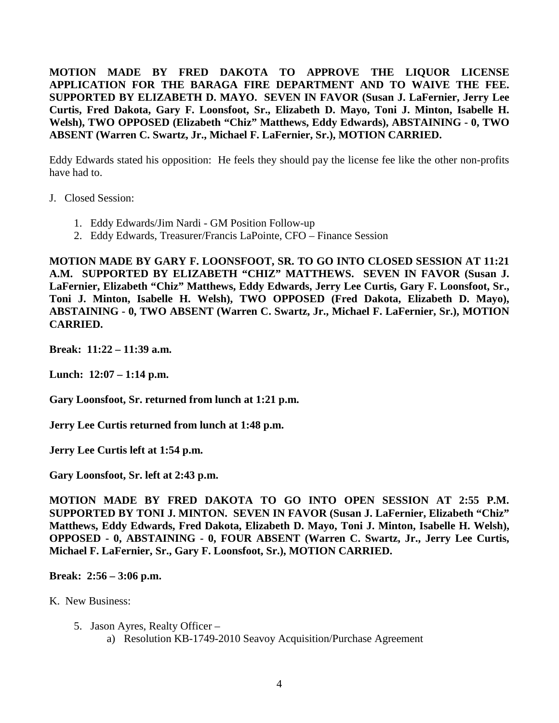**MOTION MADE BY FRED DAKOTA TO APPROVE THE LIQUOR LICENSE APPLICATION FOR THE BARAGA FIRE DEPARTMENT AND TO WAIVE THE FEE. SUPPORTED BY ELIZABETH D. MAYO. SEVEN IN FAVOR (Susan J. LaFernier, Jerry Lee Curtis, Fred Dakota, Gary F. Loonsfoot, Sr., Elizabeth D. Mayo, Toni J. Minton, Isabelle H. Welsh), TWO OPPOSED (Elizabeth "Chiz" Matthews, Eddy Edwards), ABSTAINING - 0, TWO ABSENT (Warren C. Swartz, Jr., Michael F. LaFernier, Sr.), MOTION CARRIED.**

Eddy Edwards stated his opposition: He feels they should pay the license fee like the other non-profits have had to.

J. Closed Session:

- 1. Eddy Edwards/Jim Nardi GM Position Follow-up
- 2. Eddy Edwards, Treasurer/Francis LaPointe, CFO Finance Session

**MOTION MADE BY GARY F. LOONSFOOT, SR. TO GO INTO CLOSED SESSION AT 11:21 A.M. SUPPORTED BY ELIZABETH "CHIZ" MATTHEWS. SEVEN IN FAVOR (Susan J. LaFernier, Elizabeth "Chiz" Matthews, Eddy Edwards, Jerry Lee Curtis, Gary F. Loonsfoot, Sr., Toni J. Minton, Isabelle H. Welsh), TWO OPPOSED (Fred Dakota, Elizabeth D. Mayo), ABSTAINING - 0, TWO ABSENT (Warren C. Swartz, Jr., Michael F. LaFernier, Sr.), MOTION CARRIED.**

**Break: 11:22 – 11:39 a.m.** 

**Lunch: 12:07 – 1:14 p.m.** 

**Gary Loonsfoot, Sr. returned from lunch at 1:21 p.m.** 

**Jerry Lee Curtis returned from lunch at 1:48 p.m.**

**Jerry Lee Curtis left at 1:54 p.m.** 

**Gary Loonsfoot, Sr. left at 2:43 p.m.** 

**MOTION MADE BY FRED DAKOTA TO GO INTO OPEN SESSION AT 2:55 P.M. SUPPORTED BY TONI J. MINTON. SEVEN IN FAVOR (Susan J. LaFernier, Elizabeth "Chiz" Matthews, Eddy Edwards, Fred Dakota, Elizabeth D. Mayo, Toni J. Minton, Isabelle H. Welsh), OPPOSED - 0, ABSTAINING - 0, FOUR ABSENT (Warren C. Swartz, Jr., Jerry Lee Curtis, Michael F. LaFernier, Sr., Gary F. Loonsfoot, Sr.), MOTION CARRIED.** 

## **Break: 2:56 – 3:06 p.m.**

K. New Business:

- 5. Jason Ayres, Realty Officer
	- a) Resolution KB-1749-2010 Seavoy Acquisition/Purchase Agreement